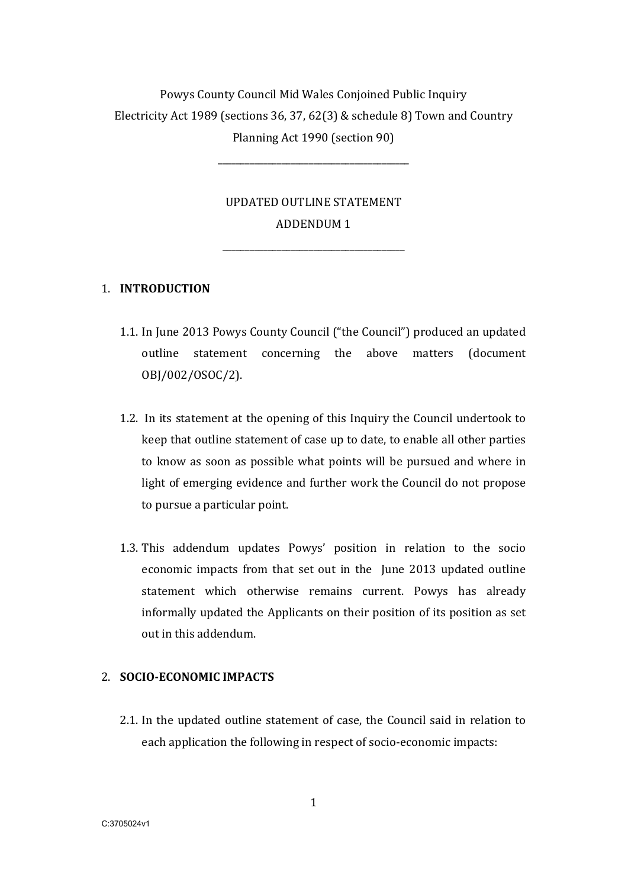# Powys County Council Mid Wales Conjoined Public Inquiry Electricity Act 1989 (sections 36, 37, 62(3) & schedule 8) Town and Country Planning Act 1990 (section 90)

\_\_\_\_\_\_\_\_\_\_\_\_\_\_\_\_\_\_\_\_\_\_\_\_\_\_\_\_\_\_\_\_\_\_\_\_\_\_\_\_\_\_

## UPDATED OUTLINE STATEMENT ADDENDUM 1

\_\_\_\_\_\_\_\_\_\_\_\_\_\_\_\_\_\_\_\_\_\_\_\_\_\_\_\_\_\_\_\_\_\_\_\_\_\_\_\_

### 1. INTRODUCTION

- 1.1. In June 2013 Powys County Council ("the Council") produced an updated outline statement concerning the above matters (document OBJ/002/OSOC/2).
- 1.2. In its statement at the opening of this Inquiry the Council undertook to keep that outline statement of case up to date, to enable all other parties to know as soon as possible what points will be pursued and where in light of emerging evidence and further work the Council do not propose to pursue a particular point.
- 1.3. This addendum updates Powys' position in relation to the socio economic impacts from that set out in the June 2013 updated outline statement which otherwise remains current. Powys has already informally updated the Applicants on their position of its position as set out in this addendum.

#### 2. SOCIO-ECONOMIC IMPACTS

2.1. In the updated outline statement of case, the Council said in relation to each application the following in respect of socio-economic impacts: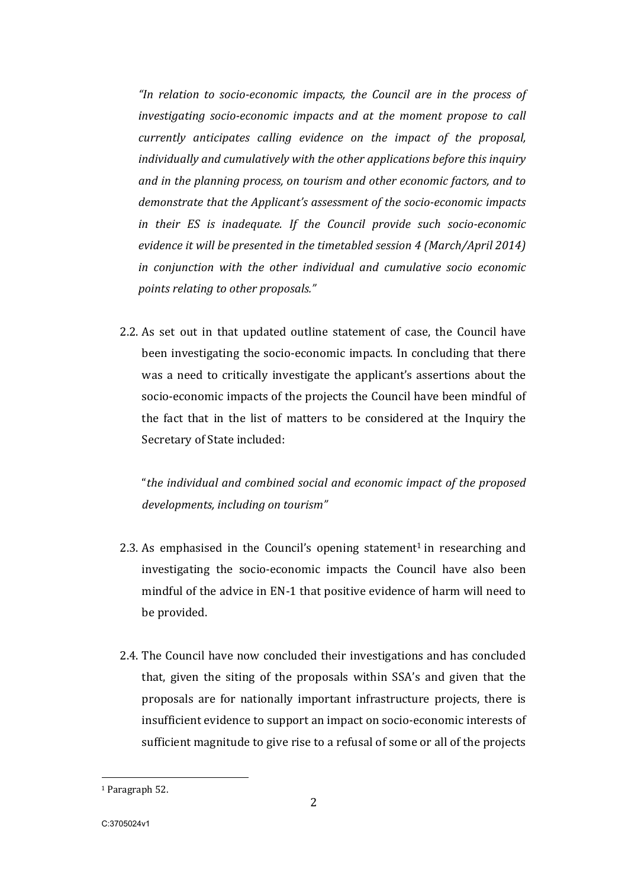"In relation to socio-economic impacts, the Council are in the process of investigating socio-economic impacts and at the moment propose to call currently anticipates calling evidence on the impact of the proposal, individually and cumulatively with the other applications before this inquiry and in the planning process, on tourism and other economic factors, and to demonstrate that the Applicant's assessment of the socio-economic impacts in their ES is inadequate. If the Council provide such socio-economic evidence it will be presented in the timetabled session  $4$  (March/April 2014) in conjunction with the other individual and cumulative socio economic points relating to other proposals."

2.2. As set out in that updated outline statement of case, the Council have been investigating the socio-economic impacts. In concluding that there was a need to critically investigate the applicant's assertions about the socio-economic impacts of the projects the Council have been mindful of the fact that in the list of matters to be considered at the Inquiry the Secretary of State included:

"the individual and combined social and economic impact of the proposed developments, including on tourism"

- 2.3. As emphasised in the Council's opening statement<sup>1</sup> in researching and investigating the socio-economic impacts the Council have also been mindful of the advice in EN-1 that positive evidence of harm will need to be provided.
- 2.4. The Council have now concluded their investigations and has concluded that, given the siting of the proposals within SSA's and given that the proposals are for nationally important infrastructure projects, there is insufficient evidence to support an impact on socio-economic interests of sufficient magnitude to give rise to a refusal of some or all of the projects

 

<sup>&</sup>lt;sup>1</sup> Paragraph 52.